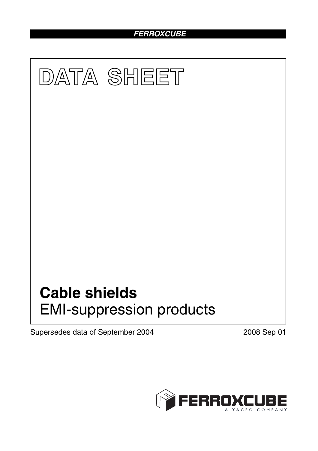# *FERROXCUBE*



Supersedes data of September 2004 2008 Sep 01

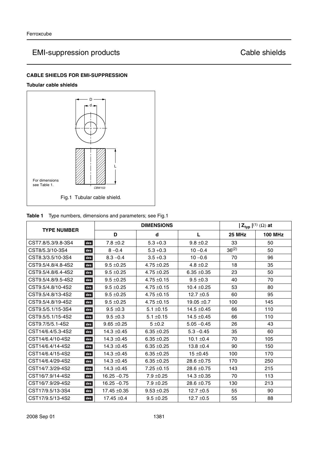# EMI-suppression products Cable shields

## **CABLE SHIELDS FOR EMI-SUPPRESSION**

### **Tubular cable shields**



| Table 1 |  |  | Type numbers, dimensions and parameters; see Fig.1 |
|---------|--|--|----------------------------------------------------|
|---------|--|--|----------------------------------------------------|

|                           |                  | <b>DIMENSIONS</b> | $ Z_{typ} ^{(1)} (\Omega)$ at |               |                |
|---------------------------|------------------|-------------------|-------------------------------|---------------|----------------|
| <b>TYPE NUMBER</b>        | D                | d                 | L                             | <b>25 MHz</b> | <b>100 MHz</b> |
| CST7.8/5.3/9.8-3S4<br>des | $7.8 \pm 0.2$    | $5.3 + 0.3$       | $9.8 \pm 0.2$                 | 33            | 50             |
| CST8/5.3/10-3S4<br>des    | $8 - 0.4$        | $5.3 + 0.3$       | $10 - 0.4$                    | $36^{(2)}$    | 50             |
| CST8.3/3.5/10-3S4<br>des  | $8.3 - 0.4$      | $3.5 + 0.3$       | $10 - 0.6$                    | 70            | 96             |
| CST9.5/4.8/4.8-4S2<br>des | $9.5 \pm 0.25$   | $4.75 \pm 0.25$   | $4.8 \pm 0.2$                 | 18            | 35             |
| CST9.5/4.8/6.4-4S2<br>des | $9.5 \pm 0.25$   | $4.75 \pm 0.25$   | $6.35 + 0.35$                 | 23            | 50             |
| CST9.5/4.8/9.5-4S2<br>des | $9.5 \pm 0.25$   | $4.75 \pm 0.15$   | $9.5 \pm 0.3$                 | 40            | 70             |
| CST9.5/4.8/10-4S2<br>des  | $9.5 \pm 0.25$   | $4.75 \pm 0.15$   | $10.4 \pm 0.25$               | 53            | 80             |
| CST9.5/4.8/13-4S2<br>des  | $9.5 \pm 0.25$   | $4.75 \pm 0.15$   | $12.7 \pm 0.5$                | 60            | 95             |
| CST9.5/4.8/19-4S2<br>des  | $9.5 \pm 0.25$   | $4.75 \pm 0.15$   | 19.05 $\pm$ 0.7               | 100           | 145            |
| CST9.5/5.1/15-3S4<br>des  | $9.5 \pm 0.3$    | $5.1 \pm 0.15$    | $14.5 \pm 0.45$               | 66            | 110            |
| CST9.5/5.1/15-4S2<br>des  | $9.5 \pm 0.3$    | $5.1 \pm 0.15$    | $14.5 \pm 0.45$               | 66            | 110            |
| CST9.7/5/5.1-4S2<br>des   | $9.65 \pm 0.25$  | $5 \pm 0.2$       | $5.05 - 0.45$                 | 26            | 43             |
| CST14/6.4/5.3-4S2<br>des  | $14.3 \pm 0.45$  | $6.35 \pm 0.25$   | $5.3 - 0.45$                  | 35            | 60             |
| CST14/6.4/10-4S2<br>des   | $14.3 \pm 0.45$  | $6.35 \pm 0.25$   | 10.1 $\pm$ 0.4                | 70            | 105            |
| CST14/6.4/14-4S2<br>des   | $14.3 \pm 0.45$  | $6.35 + 0.25$     | $13.8 \pm 0.4$                | 90            | 150            |
| CST14/6.4/15-4S2<br>des   | $14.3 \pm 0.45$  | $6.35 + 0.25$     | $15 \pm 0.45$                 | 100           | 170            |
| CST14/6.4/29-4S2<br>des   | $14.3 \pm 0.45$  | $6.35 + 0.25$     | $28.6 \pm 0.75$               | 170           | 250            |
| CST14/7.3/29-4S2<br>des   | $14.3 \pm 0.45$  | $7.25 \pm 0.15$   | $28.6 \pm 0.75$               | 143           | 215            |
| CST16/7.9/14-4S2<br>des   | $16.25 - 0.75$   | $7.9 \pm 0.25$    | $14.3 \pm 0.35$               | 70            | 113            |
| CST16/7.9/29-4S2<br>des   | $16.25 - 0.75$   | $7.9 \pm 0.25$    | $28.6 \pm 0.75$               | 130           | 213            |
| CST17/9.5/13-3S4<br>des   | $17.45 \pm 0.35$ | $9.53 + 0.25$     | $12.7 \pm 0.5$                | 55            | 90             |
| CST17/9.5/13-4S2<br>des   | $17.45 \pm 0.4$  | $9.5 \pm 0.25$    | $12.7 \pm 0.5$                | 55            | 88             |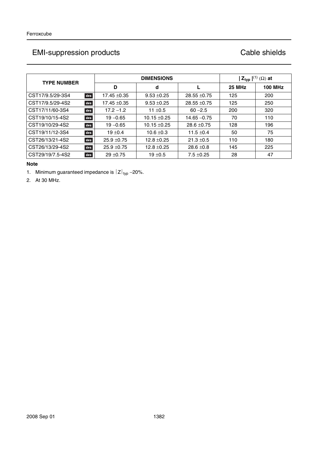| <b>TYPE NUMBER</b>      |                  | <b>DIMENSIONS</b> | $ Z_{typ} ^{(1)} (\Omega)$ at |               |                |
|-------------------------|------------------|-------------------|-------------------------------|---------------|----------------|
|                         | D                | d                 |                               | <b>25 MHz</b> | <b>100 MHz</b> |
| CST17/9.5/29-3S4<br>des | 17.45 ±0.35      | $9.53 + 0.25$     | $28.55 \pm 0.75$              | 125           | 200            |
| CST17/9.5/29-4S2<br>des | $17.45 \pm 0.35$ | $9.53 + 0.25$     | $28.55 \pm 0.75$              | 125           | 250            |
| CST17/11/60-3S4<br>des  | $17.2 - 1.2$     | 11 $±0.5$         | $60 - 2.5$                    | 200           | 320            |
| CST19/10/15-4S2<br>des  | $19 - 0.65$      | $10.15 \pm 0.25$  | $14.65 - 0.75$                | 70            | 110            |
| CST19/10/29-4S2<br>des  | $19 - 0.65$      | $10.15 \pm 0.25$  | $28.6 + 0.75$                 | 128           | 196            |
| CST19/11/12-3S4<br>des  | $19 + 0.4$       | $10.6 \pm 0.3$    | 11.5 $\pm$ 0.4                | 50            | 75             |
| CST26/13/21-4S2<br>des  | $25.9 + 0.75$    | $12.8 \pm 0.25$   | $21.3 \pm 0.5$                | 110           | 180            |
| CST26/13/29-4S2<br>des  | $25.9 + 0.75$    | $12.8 \pm 0.25$   | $28.6 \pm 0.8$                | 145           | 225            |
| CST29/19/7.5-4S2<br>des | $29 + 0.75$      | $19 + 0.5$        | $7.5 \pm 0.25$                | 28            | 47             |

## **Note**

1. Minimum guaranteed impedance is  $|Z|_{\text{typ}}$  –20%.

2. At 30 MHz.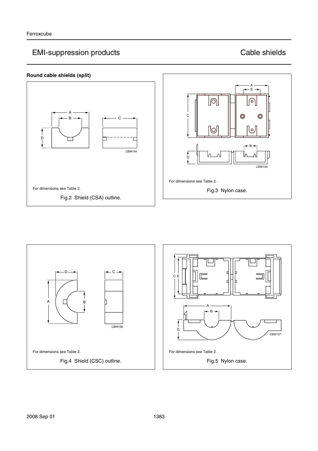# EMI-suppression products Cable shields



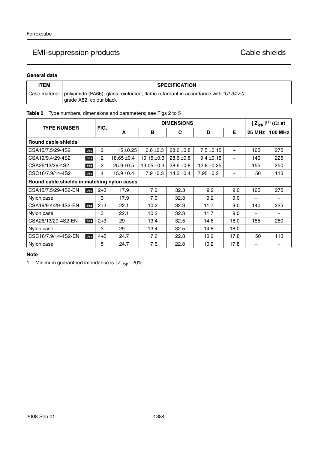### **General data**

| <b>ITEM</b> | <b>SPECIFICATION</b>                                                                                                         |
|-------------|------------------------------------------------------------------------------------------------------------------------------|
|             | Case material   polyamide (PA66), glass reinforced, flame retardant in accordance with "UL94V-0",<br>grade A82, colour black |

## **Table 2** Type numbers, dimensions and parameters; see Figs 2 to 5

| <b>TYPE NUMBER</b>                          |                       |                 | <b>DIMENSIONS</b> |                |                 |      |                          |                |
|---------------------------------------------|-----------------------|-----------------|-------------------|----------------|-----------------|------|--------------------------|----------------|
|                                             | FIG.                  | A               | в                 | C              | D               | E    | 25 MHz                   | <b>100 MHz</b> |
| Round cable shields                         |                       |                 |                   |                |                 |      |                          |                |
| CSA15/7.5/29-4S2                            | 2<br>des              | $15 \pm 0.25$   | $6.6 \pm 0.3$     | $28.6 \pm 0.8$ | $7.5 \pm 0.15$  |      | 165                      | 275            |
| CSA19/9.4/29-4S2                            | des<br>2              | $18.65 \pm 0.4$ | $10.15 \pm 0.3$   | $28.6 \pm 0.8$ | $9.4 \pm 0.15$  |      | 140                      | 225            |
| CSA26/13/29-4S2                             | $\overline{2}$<br>des | $25.9 \pm 0.5$  | $13.05 \pm 0.3$   | $28.6 \pm 0.8$ | $12.8 \pm 0.25$ |      | 155                      | 250            |
| CSC16/7.9/14-4S2                            | 4<br>des              | $15.9 \pm 0.4$  | $7.9 \pm 0.3$     | $14.3 \pm 0.4$ | $7.95 \pm 0.2$  |      | 50                       | 113            |
| Round cable shields in matching nylon cases |                       |                 |                   |                |                 |      |                          |                |
| CSA15/7.5/29-4S2-EN                         | $2 + 3$<br>des        | 17.9            | 7.0               | 32.3           | 9.2             | 9.0  | 165                      | 275            |
| Nylon case                                  | 3                     | 17.9            | 7.0               | 32.3           | 9.2             | 9.0  |                          |                |
| CSA19/9.4/29-4S2-EN                         | $2 + 3$<br>des        | 22.1            | 10.2              | 32.3           | 11.7            | 9.0  | 140                      | 225            |
| Nylon case                                  | 3                     | 22.1            | 10.2              | 32.3           | 11.7            | 9.0  | $\overline{\phantom{0}}$ |                |
| CSA26/13/29-4S2-EN                          | $2 + 3$<br>des        | 29              | 13.4              | 32.5           | 14.8            | 18.0 | 155                      | 250            |
| Nylon case                                  | 3                     | 29              | 13.4              | 32.5           | 14.8            | 18.0 |                          |                |
| CSC16/7.9/14-4S2-EN                         | $4 + 5$<br>des        | 24.7            | 7.6               | 22.8           | 10.2            | 17.8 | 50                       | 113            |
| Nylon case                                  | 5                     | 24.7            | 7.6               | 22.8           | 10.2            | 17.8 |                          |                |

### **Note**

1. Minimum guaranteed impedance is  $|Z|_{\text{typ}}$  –20%.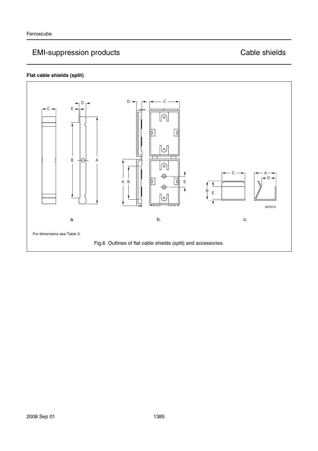# EMI-suppression products **CADI** Cable shields

# **Flat cable shields (split)**

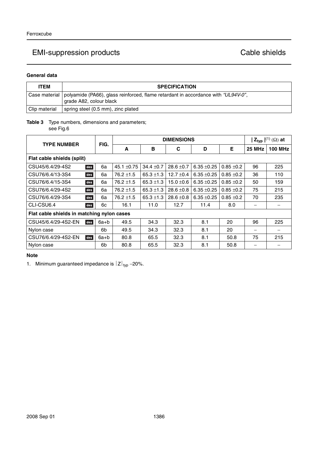### **General data**

| <b>ITEM</b>   | <b>SPECIFICATION</b>                                                                                                         |
|---------------|------------------------------------------------------------------------------------------------------------------------------|
|               | Case material   polyamide (PA66), glass reinforced, flame retardant in accordance with "UL94V-0",<br>grade A82, colour black |
| Clip material | spring steel (0.5 mm), zinc plated                                                                                           |

# **Table 3** Type numbers, dimensions and parameters;

see Fig.6

| <b>TYPE NUMBER</b>                         |                            | FIG.   | <b>DIMENSIONS</b> |                |                |               |              | $ Z_{typ} ^{(1)}(\Omega)$ at |                |
|--------------------------------------------|----------------------------|--------|-------------------|----------------|----------------|---------------|--------------|------------------------------|----------------|
|                                            |                            |        | A                 | в              | C              | D             | Е            | 25 MHz                       | <b>100 MHz</b> |
|                                            | Flat cable shields (split) |        |                   |                |                |               |              |                              |                |
| CSU45/6.4/29-4S2                           | des                        | 6a     | 45.1 ±0.75        | $34.4 \pm 0.7$ | $28.6 \pm 0.7$ | $6.35 + 0.25$ | $0.85 + 0.2$ | 96                           | 225            |
| CSU76/6.4/13-3S4                           | des                        | 6a     | $76.2 \pm 1.5$    | $65.3 \pm 1.3$ | $12.7 \pm 0.4$ | $6.35 + 0.25$ | $0.85 + 0.2$ | 36                           | 110            |
| CSU76/6.4/15-3S4                           | des                        | 6a     | $76.2 \pm 1.5$    | 65.3 $\pm$ 1.3 | $15.0 \pm 0.6$ | $6.35 + 0.25$ | $0.85 + 0.2$ | 50                           | 159            |
| CSU76/6.4/29-4S2                           | des                        | 6a     | $76.2 \pm 1.5$    | $65.3 \pm 1.3$ | $28.6 \pm 0.8$ | $6.35 + 0.25$ | $0.85 + 0.2$ | 75                           | 215            |
| CSU76/6.4/29-3S4                           | des                        | 6a     | $76.2 \pm 1.5$    | $65.3 \pm 1.3$ | $28.6 \pm 0.8$ | $6.35 + 0.25$ | $0.85 + 0.2$ | 70                           | 235            |
| CLI-CSU6.4                                 | des                        | 6c     | 16.1              | 11.0           | 12.7           | 11.4          | 8.0          | $\overline{\phantom{0}}$     |                |
| Flat cable shields in matching nylon cases |                            |        |                   |                |                |               |              |                              |                |
| CSU45/6.4/29-4S2-EN                        | des                        | $6a+b$ | 49.5              | 34.3           | 32.3           | 8.1           | 20           | 96                           | 225            |
| Nylon case                                 |                            | 6b     | 49.5              | 34.3           | 32.3           | 8.1           | 20           |                              |                |
| CSU76/6.4/29-4S2-EN                        | des                        | $6a+b$ | 80.8              | 65.5           | 32.3           | 8.1           | 50.8         | 75                           | 215            |
| Nylon case                                 |                            | 6b     | 80.8              | 65.5           | 32.3           | 8.1           | 50.8         |                              |                |

## **Note**

1. Minimum guaranteed impedance is  $|Z|_{\text{typ}}$  –20%.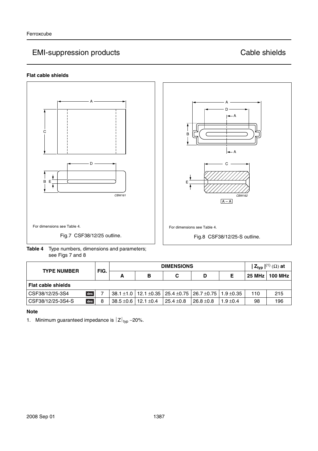## **Flat cable shields**





**Table 4** Type numbers, dimensions and parameters; see Figs 7 and 8

| <b>TYPE NUMBER</b>        |   | <b>DIMENSIONS</b> |                |                                                                                       |                |             | $ \mathsf{Z}_{\mathsf{typ}} ^{(1)}(\Omega)$ at |                |
|---------------------------|---|-------------------|----------------|---------------------------------------------------------------------------------------|----------------|-------------|------------------------------------------------|----------------|
|                           |   | А                 | в              | C                                                                                     | D              |             | 25 MHz                                         | <b>100 MHz</b> |
| <b>Flat cable shields</b> |   |                   |                |                                                                                       |                |             |                                                |                |
| des<br>CSF38/12/25-3S4    |   |                   |                | $38.1 \pm 1.0$   12.1 $\pm 0.35$   25.4 $\pm 0.75$   26.7 $\pm 0.75$   1.9 $\pm 0.35$ |                |             | 110                                            | 215            |
| des<br>CSF38/12/25-3S4-S  | 8 | $38.5 \pm 0.6$    | 12.1 $\pm$ 0.4 | $25.4 \pm 0.8$                                                                        | $26.8 \pm 0.8$ | $1.9 + 0.4$ | 98                                             | 196            |

## **Note**

1. Minimum guaranteed impedance is  $|Z|_{\text{typ}}$  –20%.